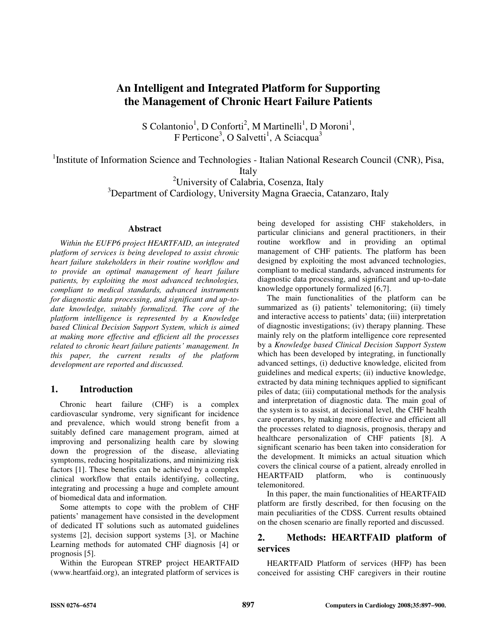# **An Intelligent and Integrated Platform for Supporting the Management of Chronic Heart Failure Patients**

 $S$  Colantonio<sup>1</sup>, D Conforti<sup>2</sup>, M Martinelli<sup>1</sup>, D Moroni<sup>1</sup>, F Perticone<sup>3</sup>, O Salvetti<sup>1</sup>, A Sciacqua<sup>3</sup>

<sup>1</sup>Institute of Information Science and Technologies - Italian National Research Council (CNR), Pisa,

Italy

<sup>2</sup>University of Calabria, Cosenza, Italy

<sup>3</sup>Department of Cardiology, University Magna Graecia, Catanzaro, Italy

#### **Abstract**

*Within the EUFP6 project HEARTFAID, an integrated platform of services is being developed to assist chronic heart failure stakeholders in their routine workflow and to provide an optimal management of heart failure patients, by exploiting the most advanced technologies, compliant to medical standards, advanced instruments for diagnostic data processing, and significant and up-todate knowledge, suitably formalized. The core of the platform intelligence is represented by a Knowledge based Clinical Decision Support System, which is aimed at making more effective and efficient all the processes*  related to chronic heart failure patients' management. In *this paper, the current results of the platform development are reported and discussed.* 

## **1. Introduction**

Chronic heart failure (CHF) is a complex cardiovascular syndrome, very significant for incidence and prevalence, which would strong benefit from a suitably defined care management program, aimed at improving and personalizing health care by slowing down the progression of the disease, alleviating symptoms, reducing hospitalizations, and minimizing risk factors [1]. These benefits can be achieved by a complex clinical workflow that entails identifying, collecting, integrating and processing a huge and complete amount of biomedical data and information.

Some attempts to cope with the problem of CHF patients' management have consisted in the development of dedicated IT solutions such as automated guidelines systems [2], decision support systems [3], or Machine Learning methods for automated CHF diagnosis [4] or prognosis [5].

Within the European STREP project HEARTFAID (www.heartfaid.org), an integrated platform of services is being developed for assisting CHF stakeholders, in particular clinicians and general practitioners, in their routine workflow and in providing an optimal management of CHF patients. The platform has been designed by exploiting the most advanced technologies, compliant to medical standards, advanced instruments for diagnostic data processing, and significant and up-to-date knowledge opportunely formalized [6,7].

The main functionalities of the platform can be summarized as (i) patients' telemonitoring; (ii) timely and interactive access to patients' data; (iii) interpretation of diagnostic investigations; (iv) therapy planning. These mainly rely on the platform intelligence core represented by a *Knowledge based Clinical Decision Support System* which has been developed by integrating, in functionally advanced settings, (i) deductive knowledge, elicited from guidelines and medical experts; (ii) inductive knowledge, extracted by data mining techniques applied to significant piles of data; (iii) computational methods for the analysis and interpretation of diagnostic data. The main goal of the system is to assist, at decisional level, the CHF health care operators, by making more effective and efficient all the processes related to diagnosis, prognosis, therapy and healthcare personalization of CHF patients [8]. A significant scenario has been taken into consideration for the development. It mimicks an actual situation which covers the clinical course of a patient, already enrolled in HEARTFAID platform, who is continuously telemonitored.

In this paper, the main functionalities of HEARTFAID platform are firstly described, for then focusing on the main peculiarities of the CDSS. Current results obtained on the chosen scenario are finally reported and discussed.

# **2. Methods: HEARTFAID platform of services**

HEARTFAID Platform of services (HFP) has been conceived for assisting CHF caregivers in their routine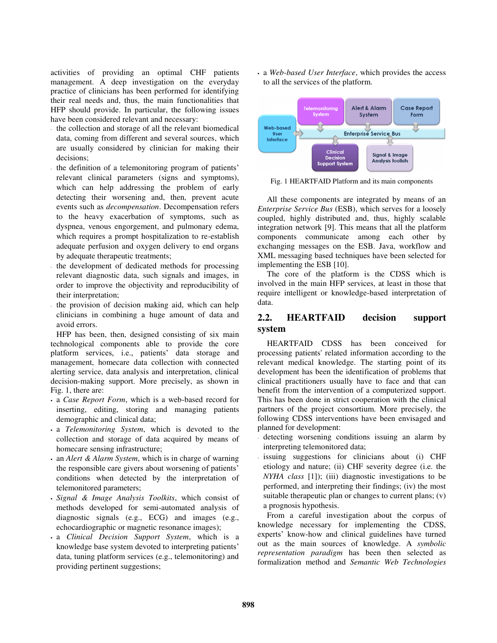activities of providing an optimal CHF patients management. A deep investigation on the everyday practice of clinicians has been performed for identifying their real needs and, thus, the main functionalities that HFP should provide. In particular, the following issues have been considered relevant and necessary:

- the collection and storage of all the relevant biomedical data, coming from different and several sources, which are usually considered by clinician for making their decisions;
- the definition of a telemonitoring program of patients' relevant clinical parameters (signs and symptoms), which can help addressing the problem of early detecting their worsening and, then, prevent acute events such as *decompensation*. Decompensation refers to the heavy exacerbation of symptoms, such as dyspnea, venous engorgement, and pulmonary edema, which requires a prompt hospitalization to re-establish adequate perfusion and oxygen delivery to end organs by adequate therapeutic treatments;
- the development of dedicated methods for processing relevant diagnostic data, such signals and images, in order to improve the objectivity and reproducibility of their interpretation;
- the provision of decision making aid, which can help clinicians in combining a huge amount of data and avoid errors.

HFP has been, then, designed consisting of six main technological components able to provide the core platform services, i.e., patients' data storage and management, homecare data collection with connected alerting service, data analysis and interpretation, clinical decision-making support. More precisely, as shown in Fig. 1, there are:

- a *Case Report Form*, which is a web-based record for inserting, editing, storing and managing patients demographic and clinical data;
- a *Telemonitoring System*, which is devoted to the collection and storage of data acquired by means of homecare sensing infrastructure;
- an *Alert & Alarm System*, which is in charge of warning the responsible care givers about worsening of patients' conditions when detected by the interpretation of telemonitored parameters;
- *Signal & Image Analysis Toolkits*, which consist of methods developed for semi-automated analysis of diagnostic signals (e.g., ECG) and images (e.g., echocardiographic or magnetic resonance images);
- a *Clinical Decision Support System*, which is a knowledge base system devoted to interpreting patients' data, tuning platform services (e.g., telemonitoring) and providing pertinent suggestions;

 a *Web-based User Interface*, which provides the access to all the services of the platform.



Fig. 1 HEARTFAID Platform and its main components

All these components are integrated by means of an *Enterprise Service Bus* (ESB), which serves for a loosely coupled, highly distributed and, thus, highly scalable integration network [9]. This means that all the platform components communicate among each other by exchanging messages on the ESB. Java, workflow and XML messaging based techniques have been selected for implementing the ESB [10].

The core of the platform is the CDSS which is involved in the main HFP services, at least in those that require intelligent or knowledge-based interpretation of data.

# **2.2. HEARTFAID decision support system**

HEARTFAID CDSS has been conceived for processing patients' related information according to the relevant medical knowledge. The starting point of its development has been the identification of problems that clinical practitioners usually have to face and that can benefit from the intervention of a computerized support. This has been done in strict cooperation with the clinical partners of the project consortium. More precisely, the following CDSS interventions have been envisaged and planned for development:

- detecting worsening conditions issuing an alarm by interpreting telemonitored data;
- issuing suggestions for clinicians about (i) CHF etiology and nature; (ii) CHF severity degree (i.e. the *NYHA class* [1]); (iii) diagnostic investigations to be performed, and interpreting their findings; (iv) the most suitable therapeutic plan or changes to current plans; (v) a prognosis hypothesis.

From a careful investigation about the corpus of knowledge necessary for implementing the CDSS, experts' know-how and clinical guidelines have turned out as the main sources of knowledge. A *symbolic representation paradigm* has been then selected as formalization method and *Semantic Web Technologies*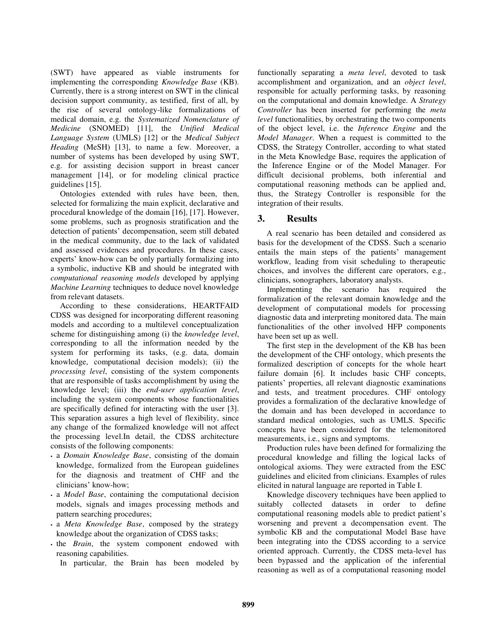(SWT) have appeared as viable instruments for implementing the corresponding *Knowledge Base* (KB). Currently, there is a strong interest on SWT in the clinical decision support community, as testified, first of all, by the rise of several ontology-like formalizations of medical domain, e.g. the *Systematized Nomenclature of Medicine* (SNOMED) [11], the *Unified Medical Language System* (UMLS) [12] or the *Medical Subject Heading* (MeSH) [13], to name a few. Moreover, a number of systems has been developed by using SWT, e.g. for assisting decision support in breast cancer management [14], or for modeling clinical practice guidelines [15].

Ontologies extended with rules have been, then, selected for formalizing the main explicit, declarative and procedural knowledge of the domain [16], [17]. However, some problems, such as prognosis stratification and the detection of patients' decompensation, seem still debated in the medical community, due to the lack of validated and assessed evidences and procedures. In these cases, experts' know-how can be only partially formalizing into a symbolic, inductive KB and should be integrated with *computational reasoning models* developed by applying *Machine Learning* techniques to deduce novel knowledge from relevant datasets.

According to these considerations, HEARTFAID CDSS was designed for incorporating different reasoning models and according to a multilevel conceptualization scheme for distinguishing among (i) the *knowledge level*, corresponding to all the information needed by the system for performing its tasks, (e.g. data, domain knowledge, computational decision models); (ii) the *processing level*, consisting of the system components that are responsible of tasks accomplishment by using the knowledge level; (iii) the *end-user application level*, including the system components whose functionalities are specifically defined for interacting with the user [3]. This separation assures a high level of flexibility, since any change of the formalized knowledge will not affect the processing level.In detail, the CDSS architecture consists of the following components:

- a *Domain Knowledge Base*, consisting of the domain knowledge, formalized from the European guidelines for the diagnosis and treatment of CHF and the clinicians' know-how;
- a *Model Base*, containing the computational decision models, signals and images processing methods and pattern searching procedures;
- a *Meta Knowledge Base*, composed by the strategy knowledge about the organization of CDSS tasks;
- the *Brain*, the system component endowed with reasoning capabilities.

In particular, the Brain has been modeled by

functionally separating a *meta level*, devoted to task accomplishment and organization, and an *object level*, responsible for actually performing tasks, by reasoning on the computational and domain knowledge. A *Strategy Controller* has been inserted for performing the *meta level* functionalities, by orchestrating the two components of the object level, i.e. the *Inference Engine* and the *Model Manager*. When a request is committed to the CDSS, the Strategy Controller, according to what stated in the Meta Knowledge Base, requires the application of the Inference Engine or of the Model Manager. For difficult decisional problems, both inferential and computational reasoning methods can be applied and, thus, the Strategy Controller is responsible for the integration of their results.

## **3. Results**

A real scenario has been detailed and considered as basis for the development of the CDSS. Such a scenario entails the main steps of the patients' management workflow, leading from visit scheduling to therapeutic choices, and involves the different care operators, e.g., clinicians, sonographers, laboratory analysts.

Implementing the scenario has required the formalization of the relevant domain knowledge and the development of computational models for processing diagnostic data and interpreting monitored data. The main functionalities of the other involved HFP components have been set up as well.

The first step in the development of the KB has been the development of the CHF ontology, which presents the formalized description of concepts for the whole heart failure domain [6]. It includes basic CHF concepts, patients' properties, all relevant diagnostic examinations and tests, and treatment procedures. CHF ontology provides a formalization of the declarative knowledge of the domain and has been developed in accordance to standard medical ontologies, such as UMLS. Specific concepts have been considered for the telemonitored measurements, i.e., signs and symptoms.

Production rules have been defined for formalizing the procedural knowledge and filling the logical lacks of ontological axioms. They were extracted from the ESC guidelines and elicited from clinicians. Examples of rules elicited in natural language are reported in Table I.

Knowledge discovery techniques have been applied to suitably collected datasets in order to define computational reasoning models able to predict patient's worsening and prevent a decompensation event. The symbolic KB and the computational Model Base have been integrating into the CDSS according to a service oriented approach. Currently, the CDSS meta-level has been bypassed and the application of the inferential reasoning as well as of a computational reasoning model